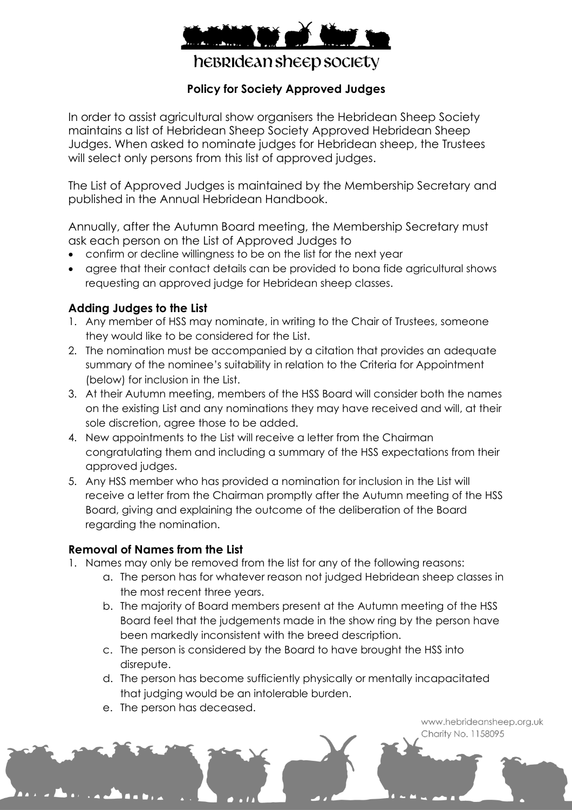

hebridean sheep society

## **Policy for Society Approved Judges**

In order to assist agricultural show organisers the Hebridean Sheep Society maintains a list of Hebridean Sheep Society Approved Hebridean Sheep Judges. When asked to nominate judges for Hebridean sheep, the Trustees will select only persons from this list of approved judges.

The List of Approved Judges is maintained by the Membership Secretary and published in the Annual Hebridean Handbook.

Annually, after the Autumn Board meeting, the Membership Secretary must ask each person on the List of Approved Judges to

- confirm or decline willingness to be on the list for the next year
- agree that their contact details can be provided to bona fide agricultural shows requesting an approved judge for Hebridean sheep classes.

## **Adding Judges to the List**

- 1. Any member of HSS may nominate, in writing to the Chair of Trustees, someone they would like to be considered for the List.
- 2. The nomination must be accompanied by a citation that provides an adequate summary of the nominee's suitability in relation to the Criteria for Appointment (below) for inclusion in the List.
- 3. At their Autumn meeting, members of the HSS Board will consider both the names on the existing List and any nominations they may have received and will, at their sole discretion, agree those to be added.
- 4. New appointments to the List will receive a letter from the Chairman congratulating them and including a summary of the HSS expectations from their approved judges.
- 5. Any HSS member who has provided a nomination for inclusion in the List will receive a letter from the Chairman promptly after the Autumn meeting of the HSS Board, giving and explaining the outcome of the deliberation of the Board regarding the nomination.

## **Removal of Names from the List**

- 1. Names may only be removed from the list for any of the following reasons:
	- a. The person has for whatever reason not judged Hebridean sheep classes in the most recent three years.
	- b. The majority of Board members present at the Autumn meeting of the HSS Board feel that the judgements made in the show ring by the person have been markedly inconsistent with the breed description.
	- c. The person is considered by the Board to have brought the HSS into disrepute.
	- d. The person has become sufficiently physically or mentally incapacitated that judging would be an intolerable burden.
	- e. The person has deceased.

www.hebrideansheep.org.uk Charity No. 1158095